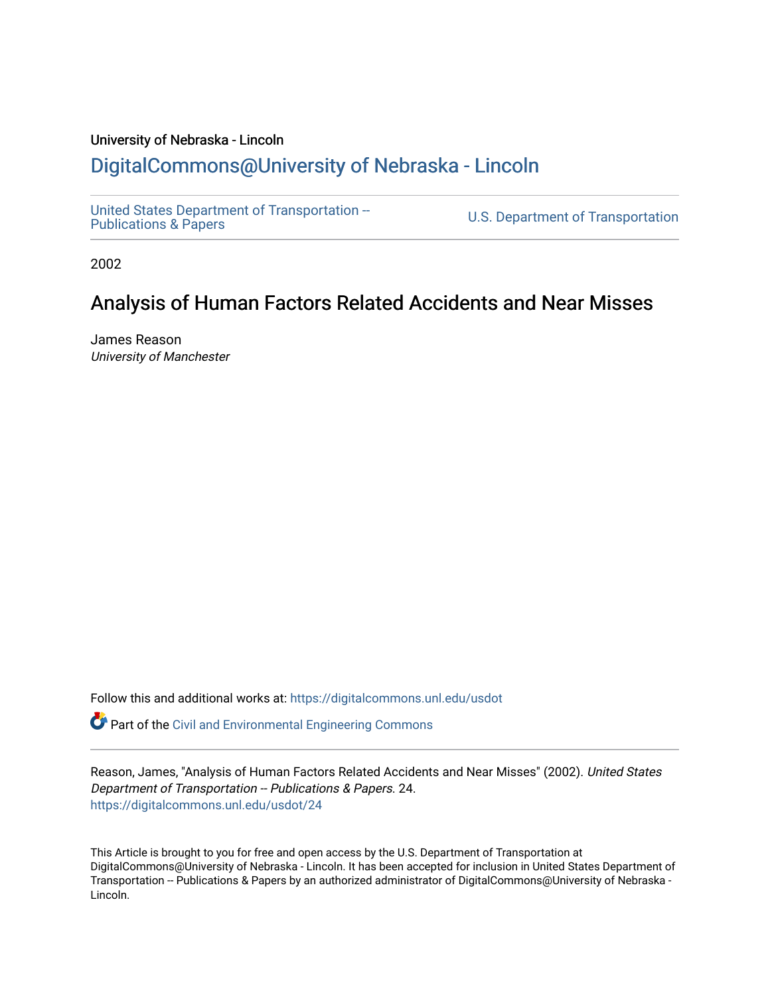#### University of Nebraska - Lincoln [DigitalCommons@University of Nebraska - Lincoln](https://digitalcommons.unl.edu/)

[United States Department of Transportation --](https://digitalcommons.unl.edu/usdot)<br>Publications & Papers

U.S. Department of Transportation

2002

#### Analysis of Human Factors Related Accidents and Near Misses

James Reason University of Manchester

Follow this and additional works at: [https://digitalcommons.unl.edu/usdot](https://digitalcommons.unl.edu/usdot?utm_source=digitalcommons.unl.edu%2Fusdot%2F24&utm_medium=PDF&utm_campaign=PDFCoverPages) 

Part of the [Civil and Environmental Engineering Commons](http://network.bepress.com/hgg/discipline/251?utm_source=digitalcommons.unl.edu%2Fusdot%2F24&utm_medium=PDF&utm_campaign=PDFCoverPages)

Reason, James, "Analysis of Human Factors Related Accidents and Near Misses" (2002). United States Department of Transportation -- Publications & Papers. 24. [https://digitalcommons.unl.edu/usdot/24](https://digitalcommons.unl.edu/usdot/24?utm_source=digitalcommons.unl.edu%2Fusdot%2F24&utm_medium=PDF&utm_campaign=PDFCoverPages)

This Article is brought to you for free and open access by the U.S. Department of Transportation at DigitalCommons@University of Nebraska - Lincoln. It has been accepted for inclusion in United States Department of Transportation -- Publications & Papers by an authorized administrator of DigitalCommons@University of Nebraska -Lincoln.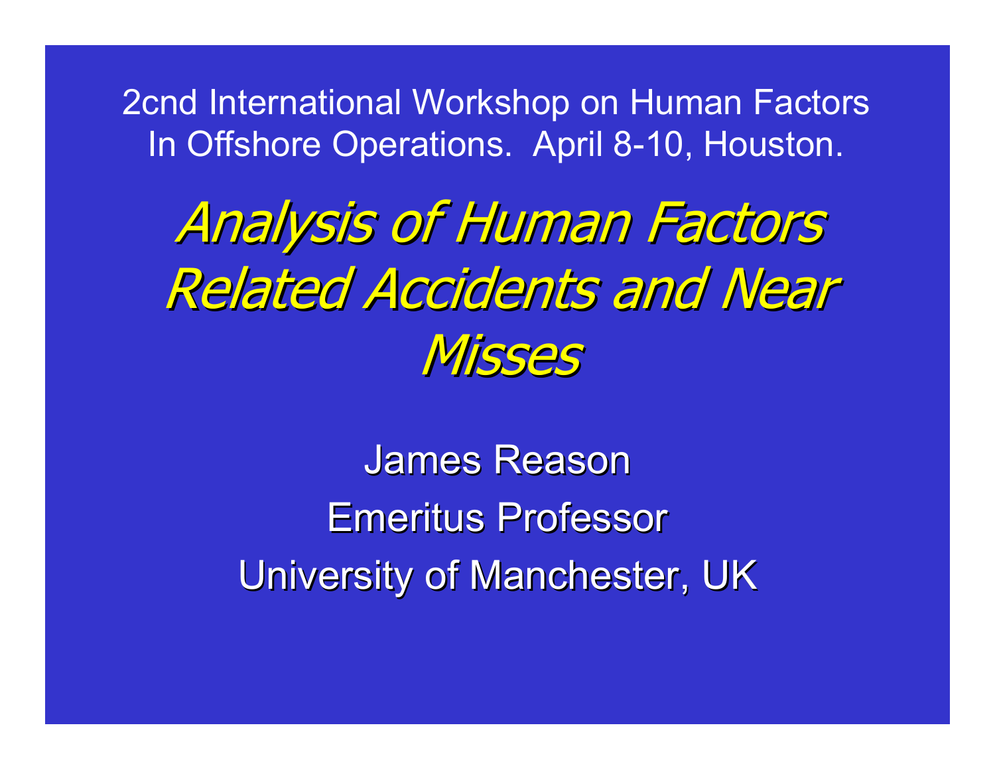2cnd International Workshop on Human Factors In Offshore Operations. April 8-10, Houston.

## Analysis of Human Factors **Related Accidents and Near Misses**

James Reason **Emeritus Professor** University of Manchester, UK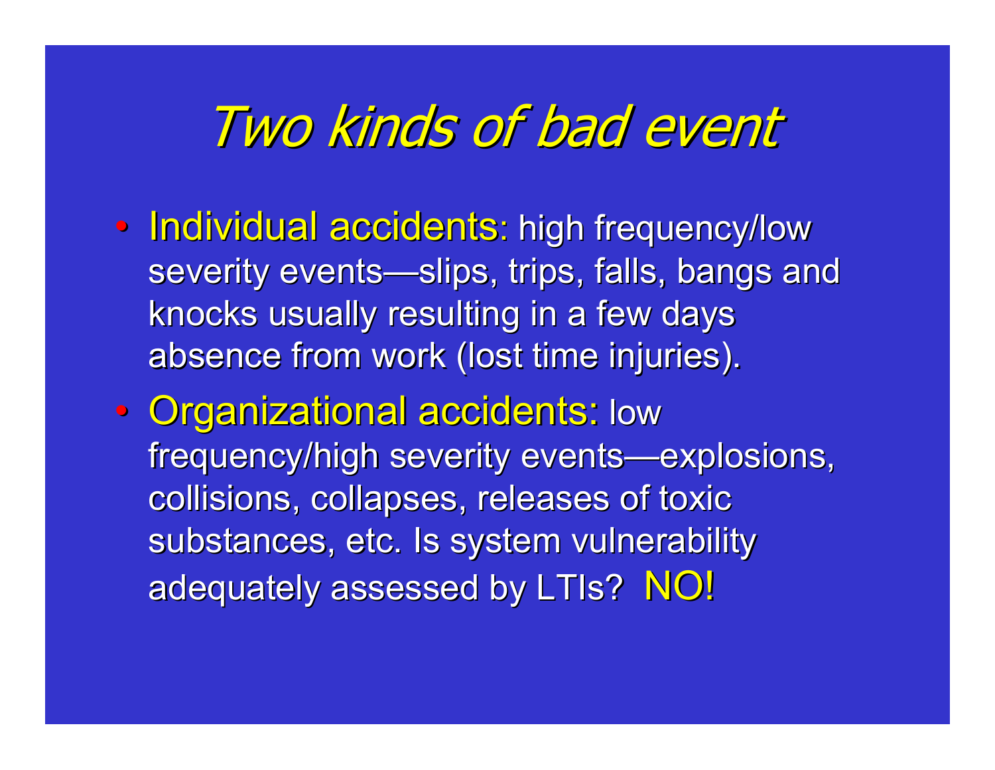### Two kinds of bad event

- Individual accidents: high frequency/low severity events—slips, trips, falls, bangs and knocks usually resulting in a few days absence from work (lost time injuries).
- $\bullet$ • Organizational accidents: low frequency/high severity events—explosions, collisions, collapses, releases of toxic substances, etc. Is system vulnerability adequately assessed by LTIs? NO!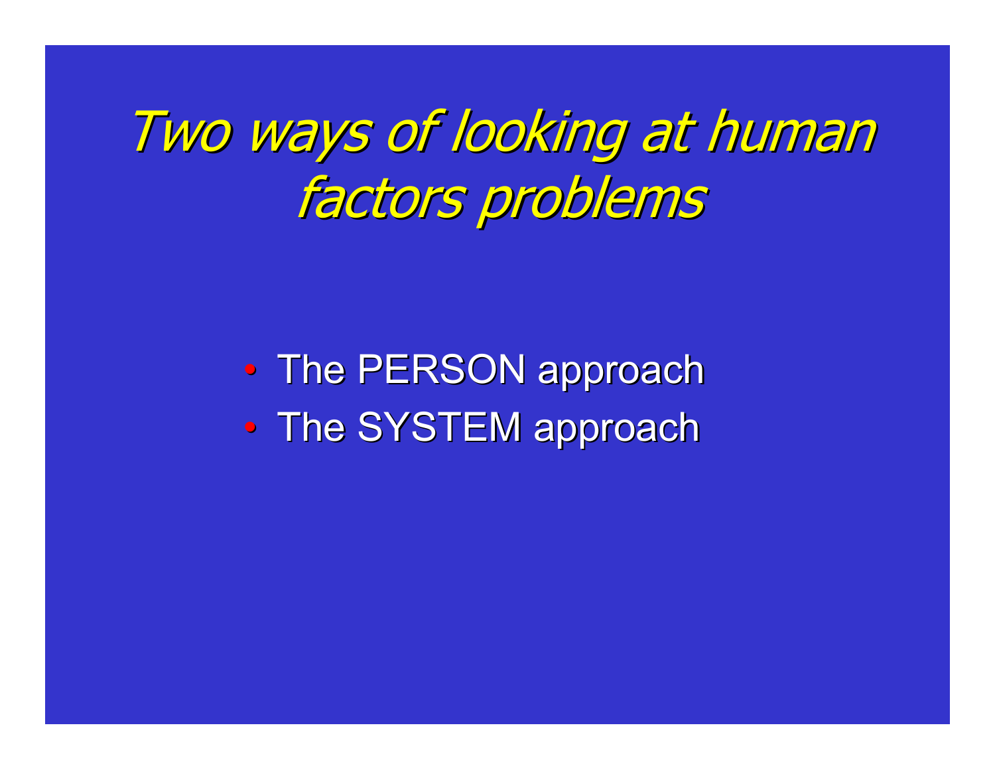# Two ways of looking at human Two ways of looking at human factors problems

 $\bullet$ • The PERSON approach  $\bullet$ • The SYSTEM approach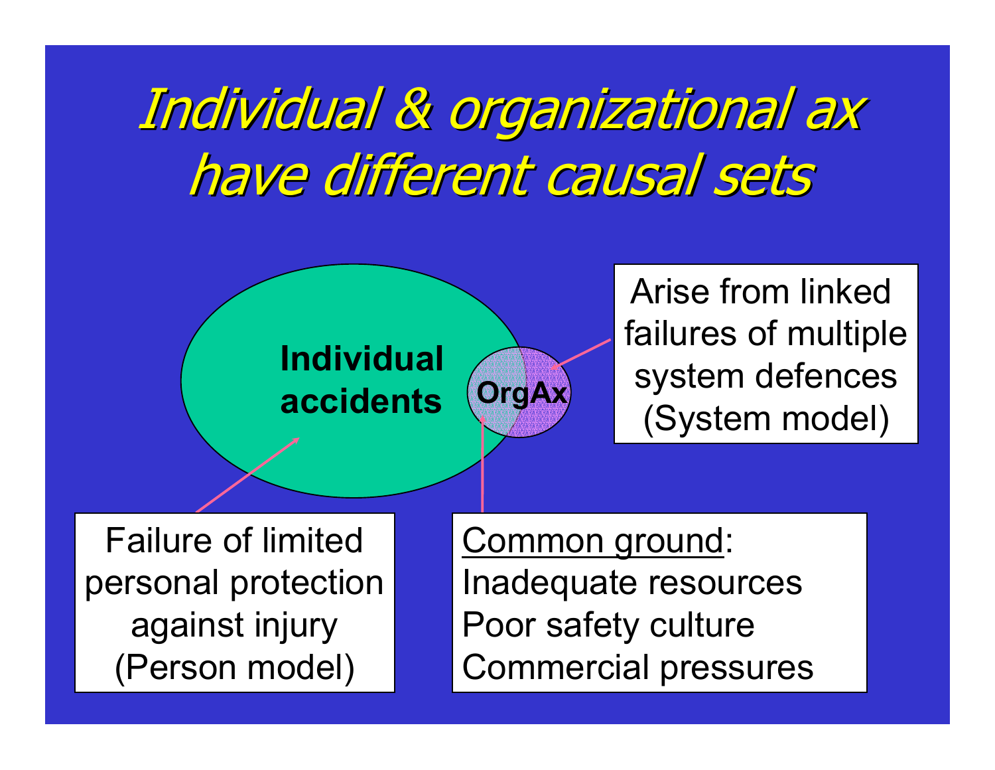# Individual & organizational ax have different causal sets

**OrgAx**





Failure of limitedpersonal protection against injury (Person model)

Common ground: Inadequate resources Poor safety culture Commercial pressures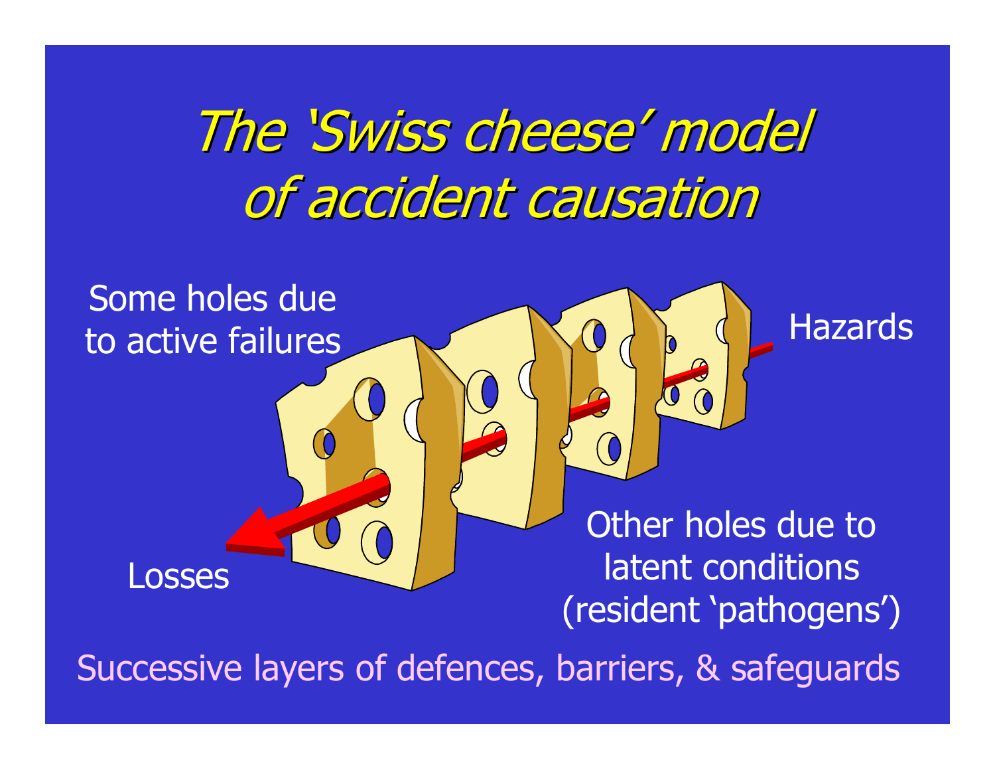# The 'Swiss cheese' model of accident causation

Some holes dueto active failures

Losses

Other holes due to latent conditions (resident 'pathogens')

**Hazards** 

Successive layers of defences, barriers, & safeguards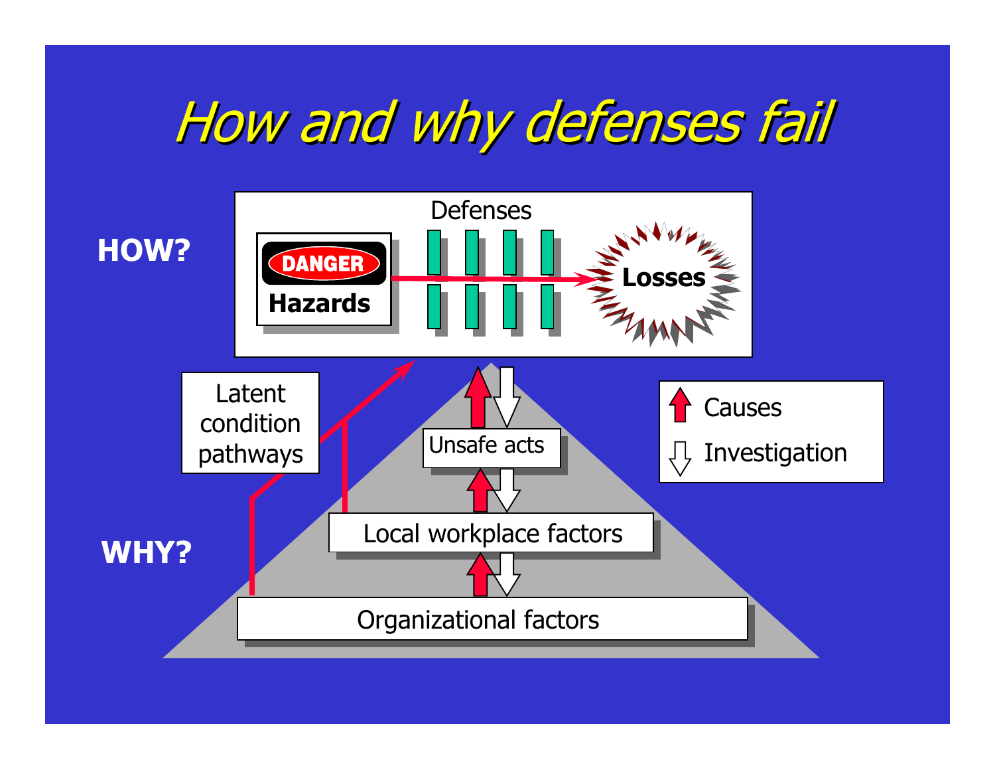# How and why defenses fail

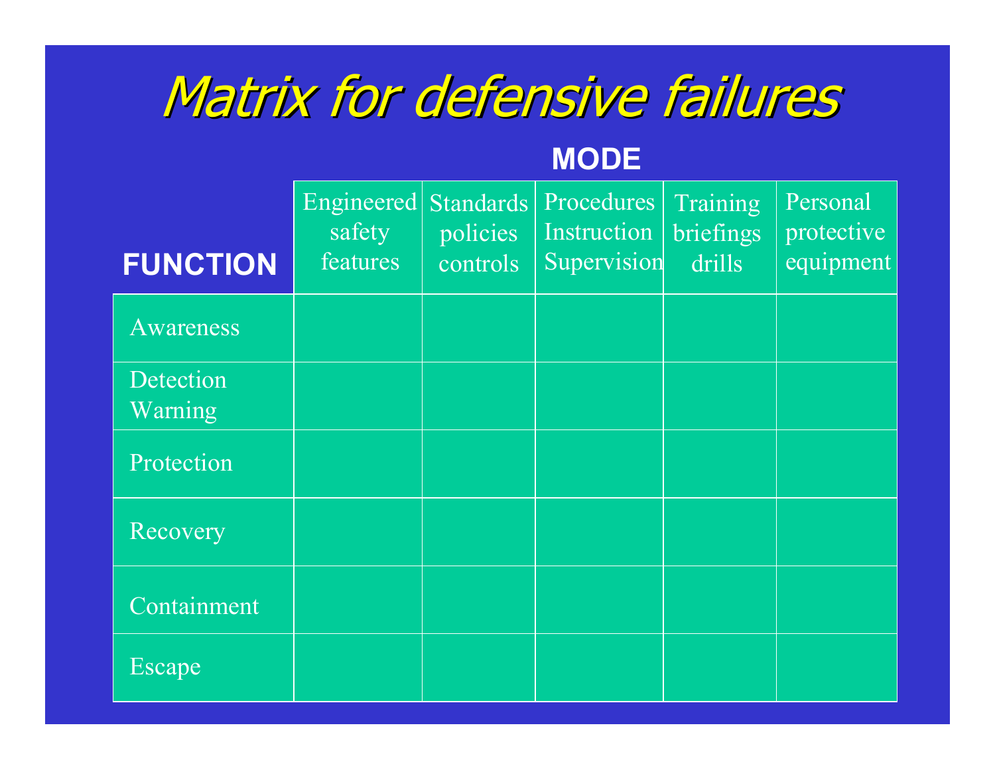# Matrix for defensive failures

#### **MODE**

| <b>FUNCTION</b>      | Engineered<br>safety<br>features | <b>Standards</b><br>policies<br>controls | Procedures<br>Instruction<br>Supervision | Training<br>briefings<br>drills | Personal<br>protective<br>equipment |
|----------------------|----------------------------------|------------------------------------------|------------------------------------------|---------------------------------|-------------------------------------|
| <b>Awareness</b>     |                                  |                                          |                                          |                                 |                                     |
| Detection<br>Warning |                                  |                                          |                                          |                                 |                                     |
| Protection           |                                  |                                          |                                          |                                 |                                     |
| Recovery             |                                  |                                          |                                          |                                 |                                     |
| Containment          |                                  |                                          |                                          |                                 |                                     |
| Escape               |                                  |                                          |                                          |                                 |                                     |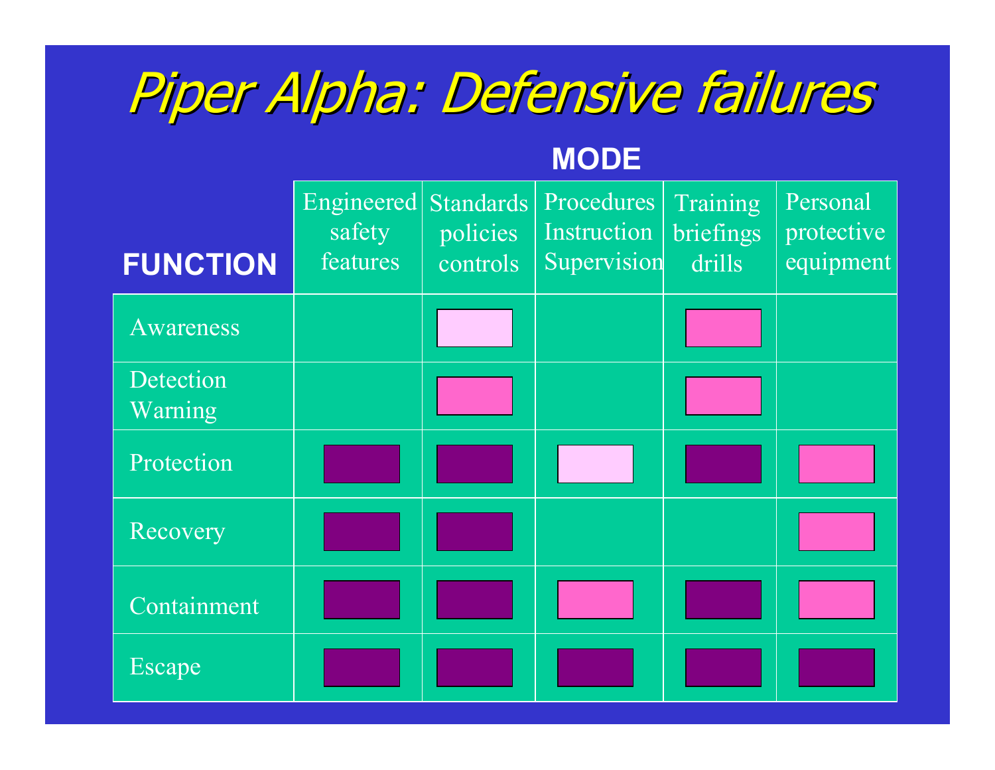# Piper Alpha: Defensive failures Piper Alpha: Defensive failures

#### **MODE**

| <b>FUNCTION</b>      | Engineered<br>safety<br>features | <b>Standards</b><br>policies<br>controls | Procedures<br>Instruction<br>Supervision | Training<br>briefings<br>drills | Personal<br>protective<br>equipment |
|----------------------|----------------------------------|------------------------------------------|------------------------------------------|---------------------------------|-------------------------------------|
| <b>Awareness</b>     |                                  |                                          |                                          |                                 |                                     |
| Detection<br>Warning |                                  |                                          |                                          |                                 |                                     |
| Protection           |                                  |                                          |                                          |                                 |                                     |
| Recovery             |                                  |                                          |                                          |                                 |                                     |
| Containment          |                                  |                                          |                                          |                                 |                                     |
| Escape               |                                  |                                          |                                          |                                 |                                     |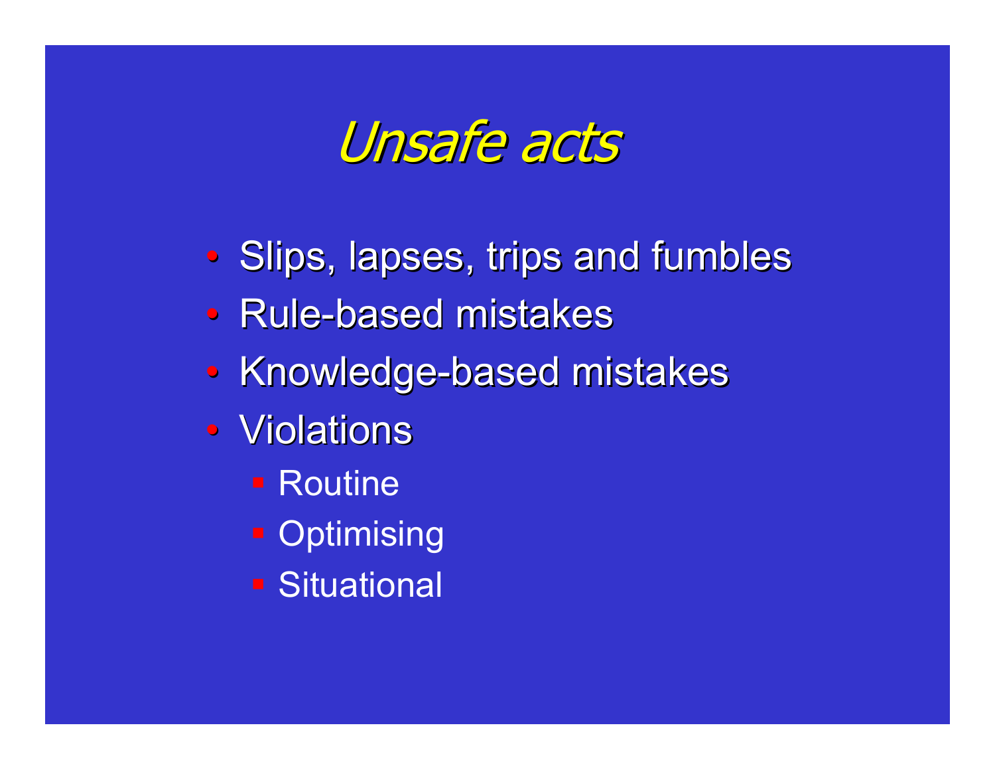Unsafe acts Unsafe acts

- $\bullet$ • Slips, lapses, trips and fumbles
- Rule-based mistakes
- Knowledge-based mistakes
- Violations
	- Routine
	- **Optimising**
	- Situational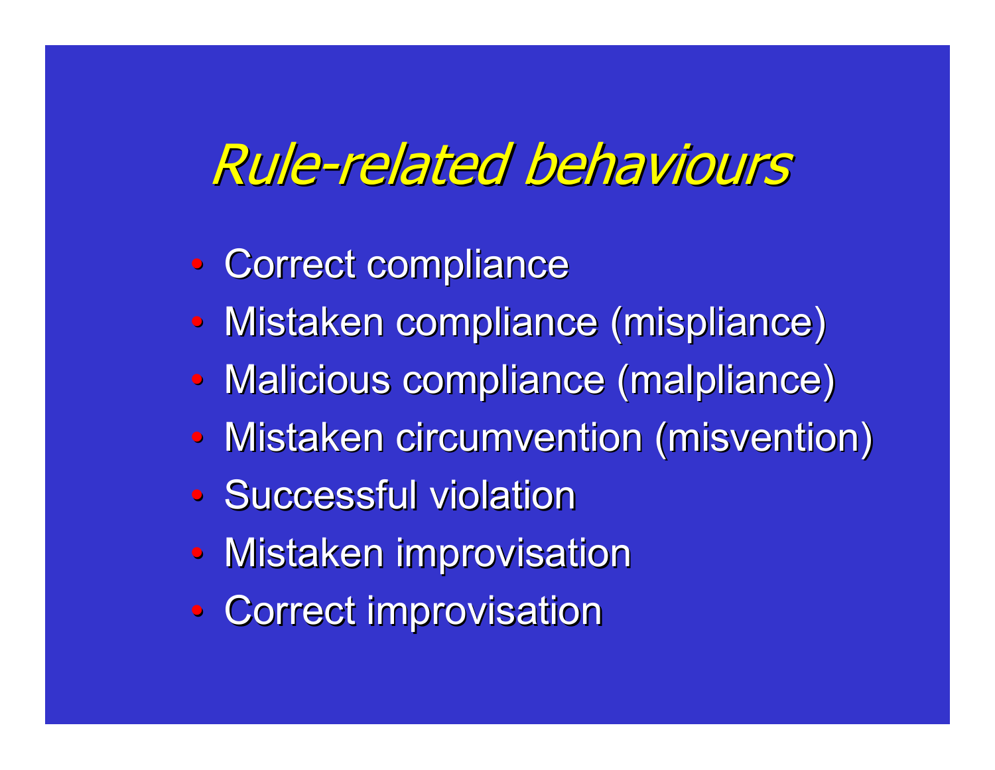### Rule-related behaviours

- $\bullet$ • Correct compliance
- $\bullet$ • Mistaken compliance (mispliance)
- $\bullet$ • Malicious compliance (malpliance)
- $\bullet$ • Mistaken circumvention (misvention)
- Successful violation
- Mistaken improvisation
- $\bullet$ • Correct improvisation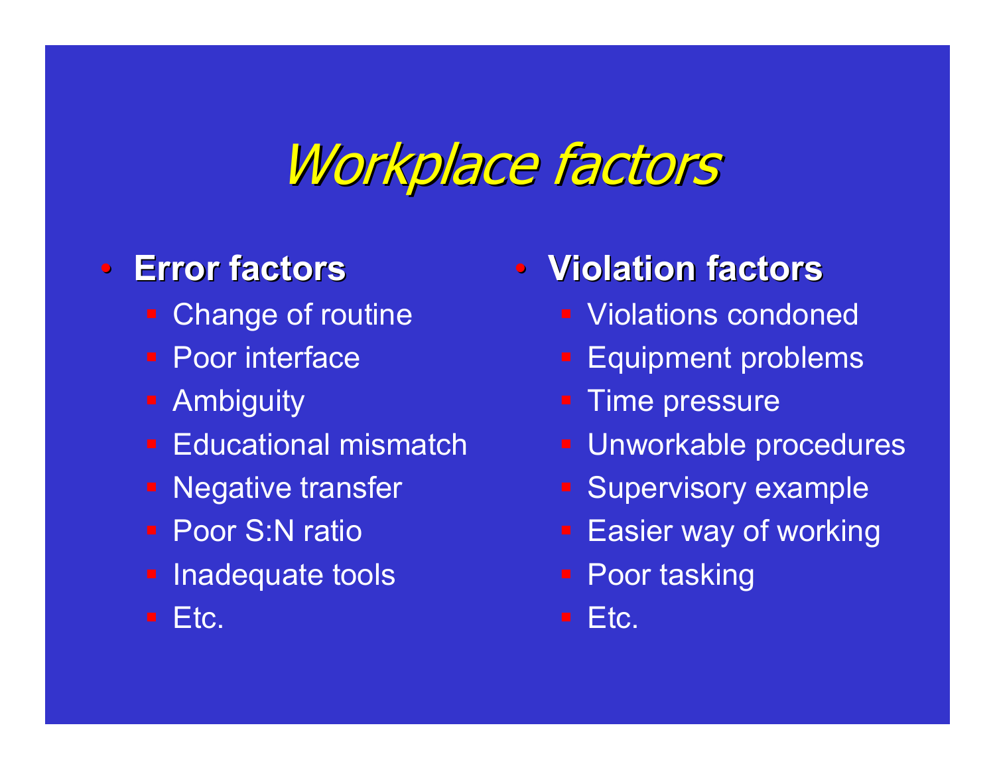### Workplace factors

#### $\bullet$ **Error factors Error factors**

- **Example of routine**
- **Poor interface**
- **Ambiguity**
- **Educational mismatch**
- Negative transfer
- **Poor S:N ratio**
- **Example 2** Inadequate tools

Etc.

- **Violation factors Violation factors**
	- **Violations condoned**
	- **Equipment problems**
	- **Time pressure**
	- Unworkable procedures
	- Supervisory example
	- Easier way of working
	- Poor tasking
	- Etc.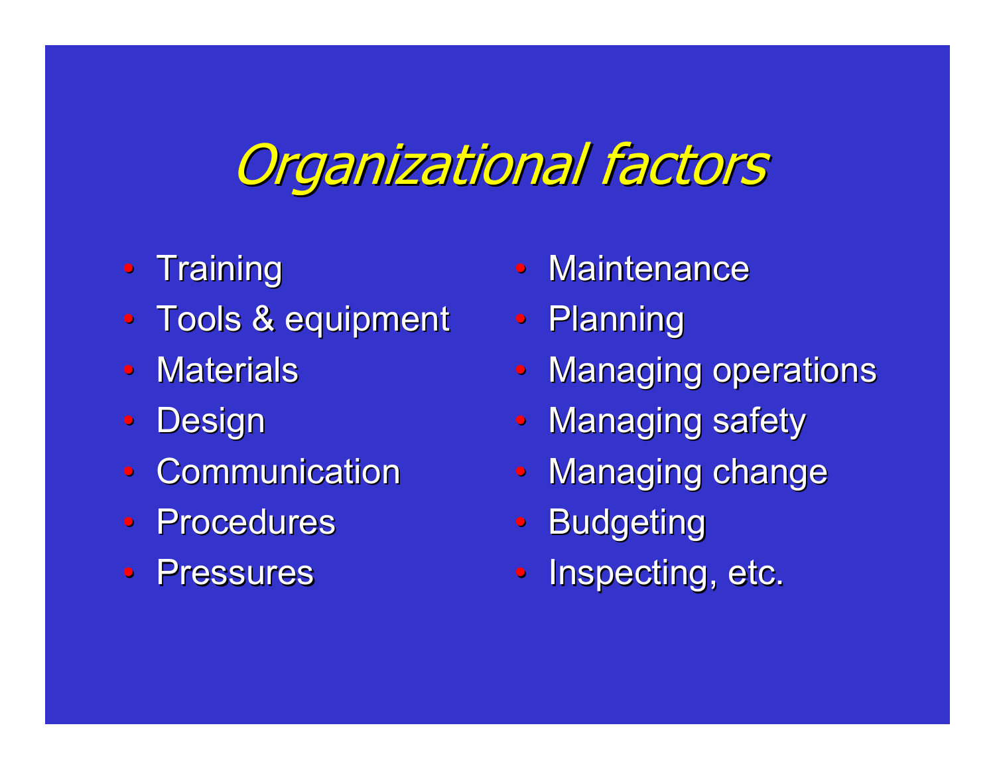## **Organizational factors**

- Training
- Tools & equipment
- $\bullet$ • Materials
- $\bullet$ **Design**
- Communication
- Procedures
- Pressures
- $\bullet$ • Maintenance
- •Planning
- $\bullet$ **Managing operations**
- $\bullet$ **Managing safety**
- $\bullet$ **Managing change**
- $\bullet$ **Budgeting**
- $\bullet$ Inspecting, etc.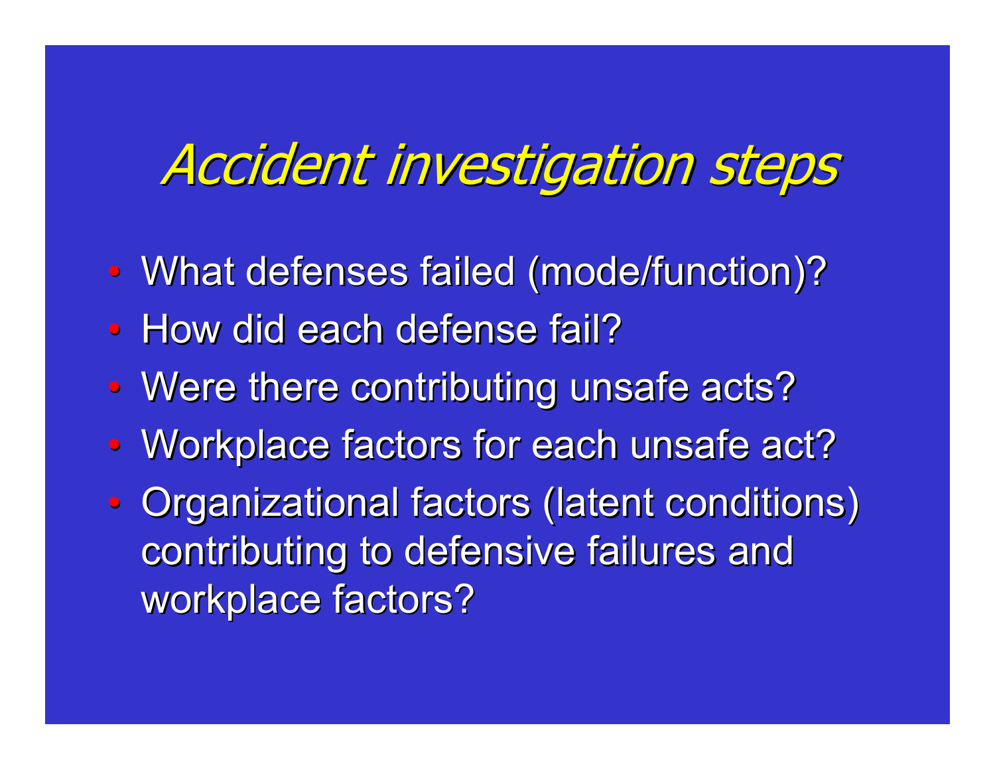### Accident investigation steps

- $\bullet$ • What defenses failed (mode/function)?
- $\bullet$ • How did each defense fail?
- $\bullet$ • Were there contributing unsafe acts?
- $\bullet$ • Workplace factors for each unsafe act?
- $\bullet$ • Organizational factors (latent conditions) contributing to defensive failures and workplace factors?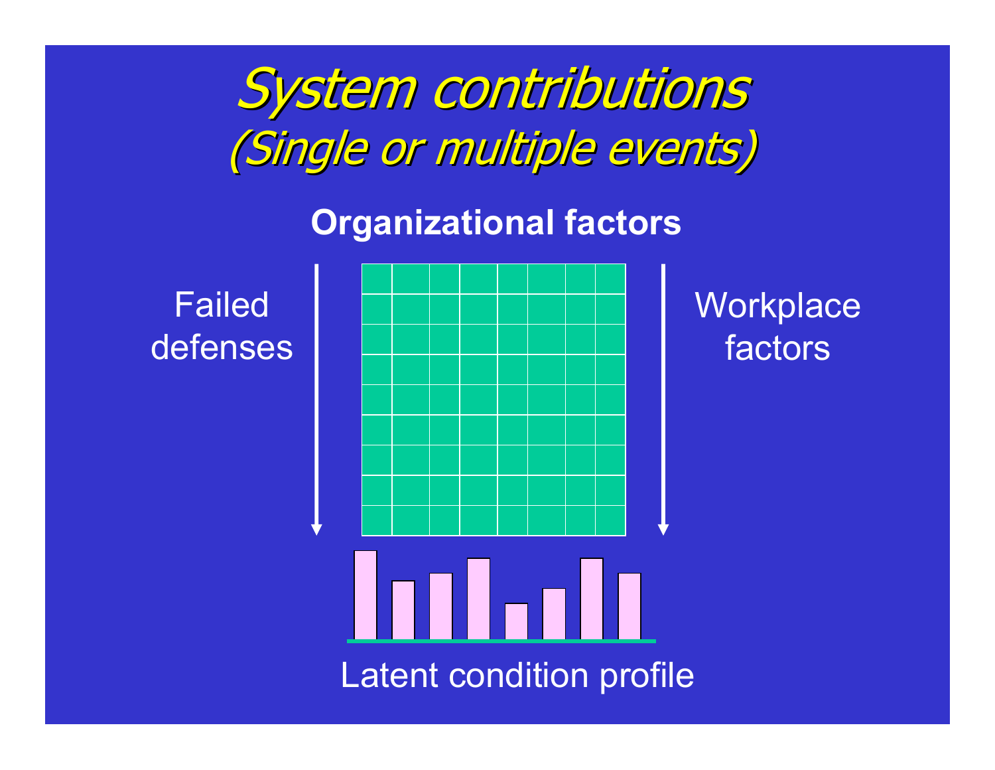System contributions (Single or multiple events) (Single or multiple events)

#### **Organizational factors**

FaileddefensesLatent condition profile

**Workplace** factors